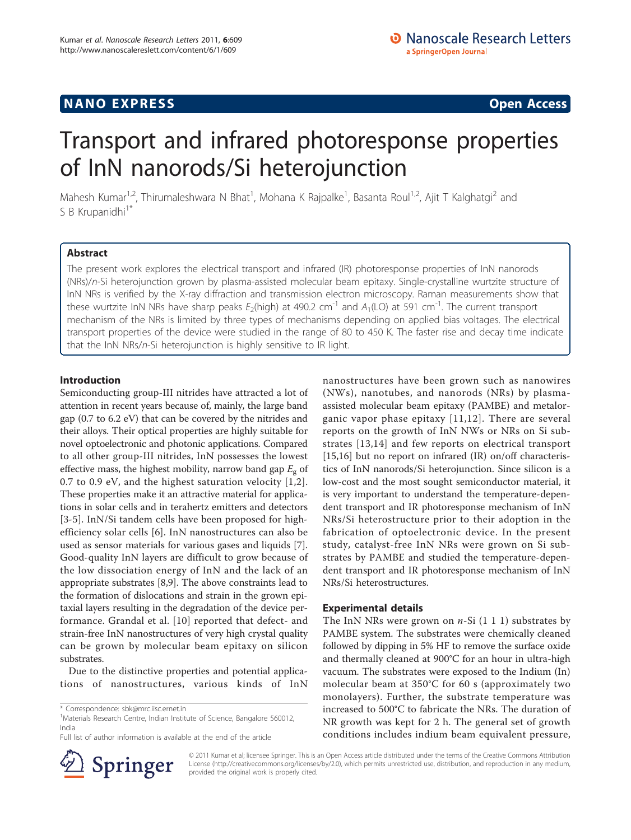## **NANO EXPRESS** Open Access and the set of the set of the set of the set of the set of the set of the set of the set of the set of the set of the set of the set of the set of the set of the set of the set of the set of the

# Transport and infrared photoresponse properties of InN nanorods/Si heterojunction

Mahesh Kumar<sup>1,2</sup>, Thirumaleshwara N Bhat<sup>1</sup>, Mohana K Rajpalke<sup>1</sup>, Basanta Roul<sup>1,2</sup>, Ajit T Kalghatgi<sup>2</sup> and S B Krupanidhi<sup>1\*</sup>

## Abstract

The present work explores the electrical transport and infrared (IR) photoresponse properties of InN nanorods (NRs)/n-Si heterojunction grown by plasma-assisted molecular beam epitaxy. Single-crystalline wurtzite structure of InN NRs is verified by the X-ray diffraction and transmission electron microscopy. Raman measurements show that these wurtzite InN NRs have sharp peaks  $E_2$ (high) at 490.2 cm<sup>-1</sup> and  $A_1$ (LO) at 591 cm<sup>-1</sup>. The current transport mechanism of the NRs is limited by three types of mechanisms depending on applied bias voltages. The electrical transport properties of the device were studied in the range of 80 to 450 K. The faster rise and decay time indicate that the InN NRs/n-Si heterojunction is highly sensitive to IR light.

## Introduction

Semiconducting group-III nitrides have attracted a lot of attention in recent years because of, mainly, the large band gap (0.7 to 6.2 eV) that can be covered by the nitrides and their alloys. Their optical properties are highly suitable for novel optoelectronic and photonic applications. Compared to all other group-III nitrides, InN possesses the lowest effective mass, the highest mobility, narrow band gap  $E_g$  of 0.7 to 0.9 eV, and the highest saturation velocity [\[1,2](#page-5-0)]. These properties make it an attractive material for applications in solar cells and in terahertz emitters and detectors [[3-5\]](#page-5-0). InN/Si tandem cells have been proposed for highefficiency solar cells [\[6](#page-5-0)]. InN nanostructures can also be used as sensor materials for various gases and liquids [\[7](#page-5-0)]. Good-quality InN layers are difficult to grow because of the low dissociation energy of InN and the lack of an appropriate substrates [[8](#page-5-0),[9](#page-5-0)]. The above constraints lead to the formation of dislocations and strain in the grown epitaxial layers resulting in the degradation of the device performance. Grandal et al. [[10\]](#page-5-0) reported that defect- and strain-free InN nanostructures of very high crystal quality can be grown by molecular beam epitaxy on silicon substrates.

Due to the distinctive properties and potential applications of nanostructures, various kinds of InN

Full list of author information is available at the end of the article



nanostructures have been grown such as nanowires (NWs), nanotubes, and nanorods (NRs) by plasmaassisted molecular beam epitaxy (PAMBE) and metalorganic vapor phase epitaxy [[11](#page-5-0),[12\]](#page-5-0). There are several reports on the growth of InN NWs or NRs on Si substrates [[13](#page-5-0),[14\]](#page-5-0) and few reports on electrical transport [[15,16\]](#page-5-0) but no report on infrared (IR) on/off characteristics of InN nanorods/Si heterojunction. Since silicon is a low-cost and the most sought semiconductor material, it is very important to understand the temperature-dependent transport and IR photoresponse mechanism of InN NRs/Si heterostructure prior to their adoption in the fabrication of optoelectronic device. In the present study, catalyst-free InN NRs were grown on Si substrates by PAMBE and studied the temperature-dependent transport and IR photoresponse mechanism of InN NRs/Si heterostructures.

### Experimental details

The InN NRs were grown on  $n-Si$  (1 1 1) substrates by PAMBE system. The substrates were chemically cleaned followed by dipping in 5% HF to remove the surface oxide and thermally cleaned at 900°C for an hour in ultra-high vacuum. The substrates were exposed to the Indium (In) molecular beam at 350°C for 60 s (approximately two monolayers). Further, the substrate temperature was increased to 500°C to fabricate the NRs. The duration of NR growth was kept for 2 h. The general set of growth conditions includes indium beam equivalent pressure,

© 2011 Kumar et al; licensee Springer. This is an Open Access article distributed under the terms of the Creative Commons Attribution License [\(http://creativecommons.org/licenses/by/2.0](http://creativecommons.org/licenses/by/2.0)), which permits unrestricted use, distribution, and reproduction in any medium, provided the original work is properly cited.

<sup>\*</sup> Correspondence: [sbk@mrc.iisc.ernet.in](mailto:sbk@mrc.iisc.ernet.in)

<sup>&</sup>lt;sup>1</sup>Materials Research Centre, Indian Institute of Science, Bangalore 560012, India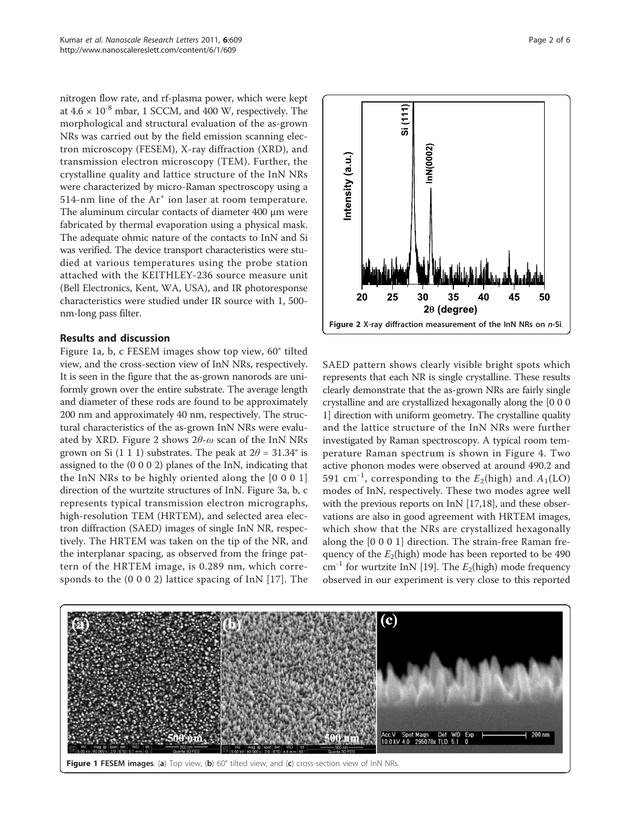nitrogen flow rate, and rf-plasma power, which were kept at  $4.6 \times 10^{-8}$  mbar, 1 SCCM, and 400 W, respectively. The morphological and structural evaluation of the as-grown NRs was carried out by the field emission scanning electron microscopy (FESEM), X-ray diffraction (XRD), and transmission electron microscopy (TEM). Further, the crystalline quality and lattice structure of the InN NRs were characterized by micro-Raman spectroscopy using a 514-nm line of the Ar<sup>+</sup> ion laser at room temperature. The aluminum circular contacts of diameter 400 μm were fabricated by thermal evaporation using a physical mask. The adequate ohmic nature of the contacts to InN and Si was verified. The device transport characteristics were studied at various temperatures using the probe station attached with the KEITHLEY-236 source measure unit (Bell Electronics, Kent, WA, USA), and IR photoresponse characteristics were studied under IR source with 1, 500 nm-long pass filter.

## Results and discussion

Figure 1a, b, c FESEM images show top view, 60° tilted view, and the cross-section view of InN NRs, respectively. It is seen in the figure that the as-grown nanorods are uniformly grown over the entire substrate. The average length and diameter of these rods are found to be approximately 200 nm and approximately 40 nm, respectively. The structural characteristics of the as-grown InN NRs were evaluated by XRD. Figure 2 shows  $2\theta$ - $\omega$  scan of the InN NRs grown on Si (1 1 1) substrates. The peak at  $2\theta = 31.34^{\circ}$  is assigned to the (0 0 0 2) planes of the InN, indicating that the InN NRs to be highly oriented along the [0 0 0 1] direction of the wurtzite structures of InN. Figure [3a, b, c](#page-2-0) represents typical transmission electron micrographs, high-resolution TEM (HRTEM), and selected area electron diffraction (SAED) images of single InN NR, respectively. The HRTEM was taken on the tip of the NR, and the interplanar spacing, as observed from the fringe pattern of the HRTEM image, is 0.289 nm, which corresponds to the (0 0 0 2) lattice spacing of InN [[17](#page-5-0)]. The



Page 2 of 6



SAED pattern shows clearly visible bright spots which represents that each NR is single crystalline. These results clearly demonstrate that the as-grown NRs are fairly single crystalline and are crystallized hexagonally along the [0 0 0 1] direction with uniform geometry. The crystalline quality and the lattice structure of the InN NRs were further investigated by Raman spectroscopy. A typical room temperature Raman spectrum is shown in Figure [4.](#page-3-0) Two active phonon modes were observed at around 490.2 and 591 cm<sup>-1</sup>, corresponding to the  $E_2$ (high) and  $A_1$ (LO) modes of InN, respectively. These two modes agree well with the previous reports on InN [\[17,18](#page-5-0)], and these observations are also in good agreement with HRTEM images, which show that the NRs are crystallized hexagonally along the [0 0 0 1] direction. The strain-free Raman frequency of the  $E_2$ (high) mode has been reported to be 490  $\text{cm}^{-1}$  for wurtzite InN [\[19](#page-5-0)]. The  $E_2$ (high) mode frequency observed in our experiment is very close to this reported

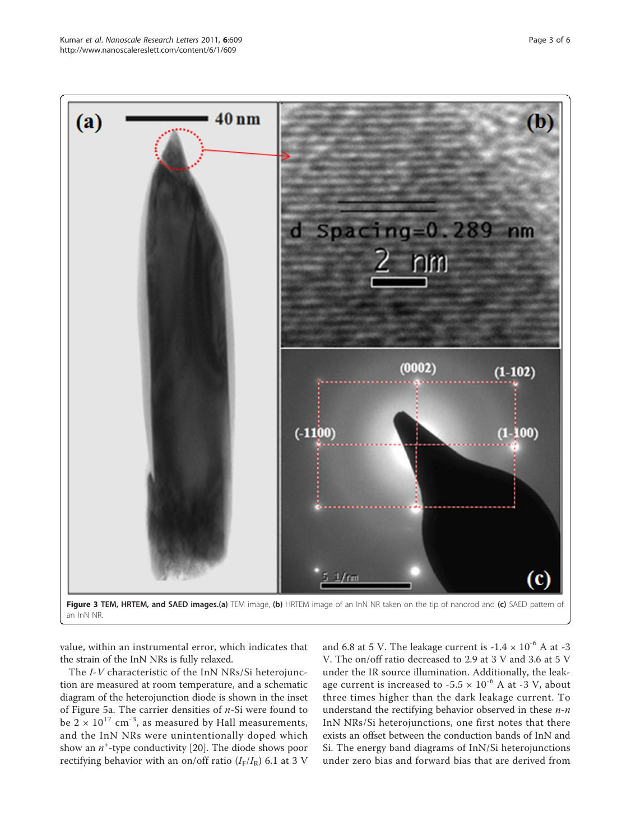<span id="page-2-0"></span>

value, within an instrumental error, which indicates that the strain of the InN NRs is fully relaxed.

The I-V characteristic of the InN NRs/Si heterojunction are measured at room temperature, and a schematic diagram of the heterojunction diode is shown in the inset of Figure [5a.](#page-3-0) The carrier densities of  $n$ -Si were found to be  $2 \times 10^{17}$  cm<sup>-3</sup>, as measured by Hall measurements, and the InN NRs were unintentionally doped which show an  $n^+$ -type conductivity [[20\]](#page-5-0). The diode shows poor rectifying behavior with an on/off ratio  $(I_F/I_R)$  6.1 at 3 V

and 6.8 at 5 V. The leakage current is  $-1.4 \times 10^{-6}$  A at  $-3$ V. The on/off ratio decreased to 2.9 at 3 V and 3.6 at 5 V under the IR source illumination. Additionally, the leakage current is increased to -5.5  $\times$  10<sup>-6</sup> A at -3 V, about three times higher than the dark leakage current. To understand the rectifying behavior observed in these  $n - n$ InN NRs/Si heterojunctions, one first notes that there exists an offset between the conduction bands of InN and Si. The energy band diagrams of InN/Si heterojunctions under zero bias and forward bias that are derived from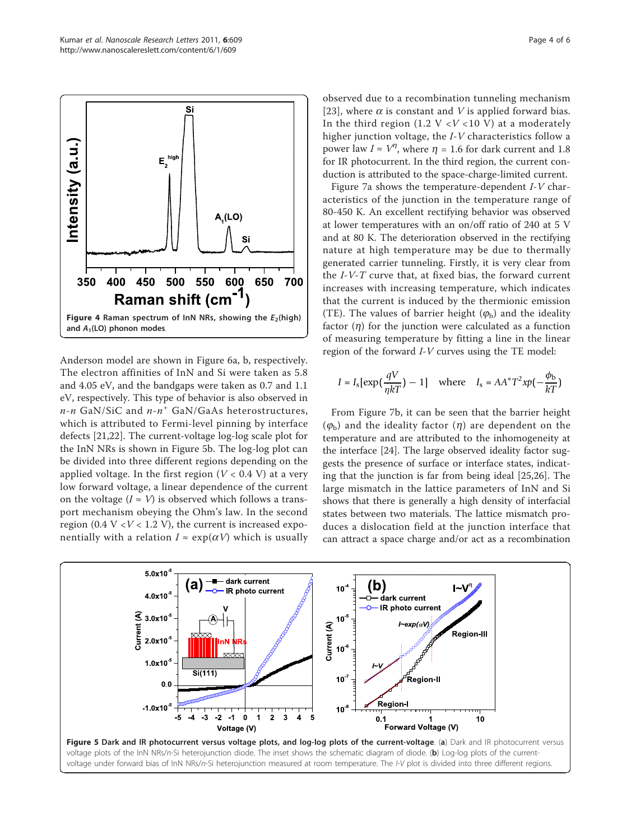<span id="page-3-0"></span>

Anderson model are shown in Figure [6a, b,](#page-4-0) respectively. The electron affinities of InN and Si were taken as 5.8 and 4.05 eV, and the bandgaps were taken as 0.7 and 1.1 eV, respectively. This type of behavior is also observed in  $n$ -n GaN/SiC and  $n$ - $n^{+}$  GaN/GaAs heterostructures, which is attributed to Fermi-level pinning by interface defects [\[21,22](#page-5-0)]. The current-voltage log-log scale plot for the InN NRs is shown in Figure 5b. The log-log plot can be divided into three different regions depending on the applied voltage. In the first region ( $V < 0.4$  V) at a very low forward voltage, a linear dependence of the current on the voltage ( $I \approx V$ ) is observed which follows a transport mechanism obeying the Ohm's law. In the second region (0.4  $V < V < 1.2$  V), the current is increased exponentially with a relation  $I \approx \exp(\alpha V)$  which is usually

observed due to a recombination tunneling mechanism [[23](#page-5-0)], where  $\alpha$  is constant and V is applied forward bias. In the third region (1.2 V < V < 10 V) at a moderately higher junction voltage, the I-V characteristics follow a power law  $I \approx V^{\eta}$ , where  $\eta = 1.6$  for dark current and 1.8 for IR photocurrent. In the third region, the current conduction is attributed to the space-charge-limited current.

Figure [7a](#page-4-0) shows the temperature-dependent I-V characteristics of the junction in the temperature range of 80-450 K. An excellent rectifying behavior was observed at lower temperatures with an on/off ratio of 240 at 5 V and at 80 K. The deterioration observed in the rectifying nature at high temperature may be due to thermally generated carrier tunneling. Firstly, it is very clear from the I-V-T curve that, at fixed bias, the forward current increases with increasing temperature, which indicates that the current is induced by the thermionic emission (TE). The values of barrier height  $(\varphi_b)$  and the ideality factor  $(\eta)$  for the junction were calculated as a function of measuring temperature by fitting a line in the linear region of the forward  $I-V$  curves using the TE model:

$$
I = I_{\rm s} \left[ \exp\left(\frac{qV}{\eta kT}\right) - 1 \right] \quad \text{where} \quad I_{\rm s} = A A^* T^2 x p \left(-\frac{\phi_{\rm b}}{kT}\right)
$$

From Figure [7b](#page-4-0), it can be seen that the barrier height  $(\varphi_b)$  and the ideality factor  $(\eta)$  are dependent on the temperature and are attributed to the inhomogeneity at the interface [\[24](#page-5-0)]. The large observed ideality factor suggests the presence of surface or interface states, indicating that the junction is far from being ideal [[25,26\]](#page-5-0). The large mismatch in the lattice parameters of InN and Si shows that there is generally a high density of interfacial states between two materials. The lattice mismatch produces a dislocation field at the junction interface that can attract a space charge and/or act as a recombination

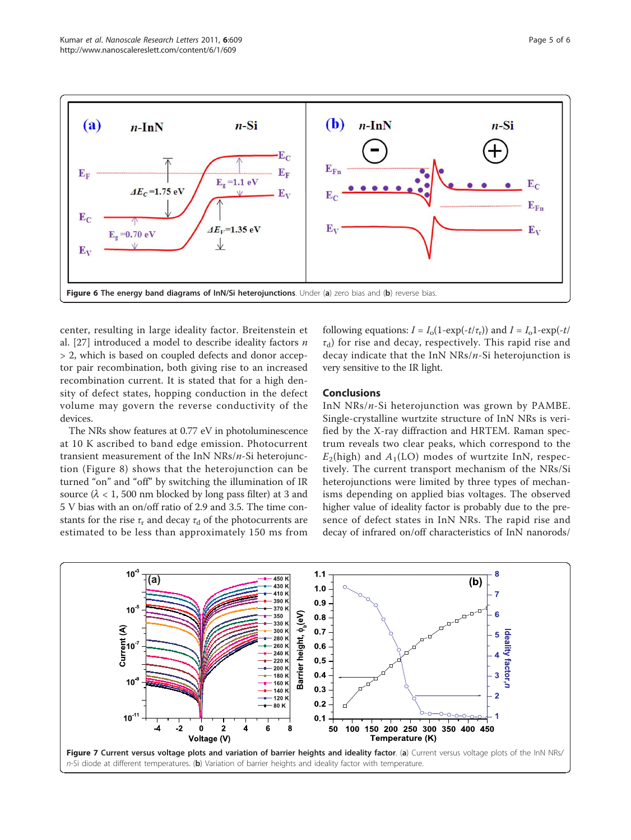<span id="page-4-0"></span>

center, resulting in large ideality factor. Breitenstein et al. [\[27](#page-5-0)] introduced a model to describe ideality factors  $n$ > 2, which is based on coupled defects and donor acceptor pair recombination, both giving rise to an increased recombination current. It is stated that for a high density of defect states, hopping conduction in the defect volume may govern the reverse conductivity of the devices.

The NRs show features at 0.77 eV in photoluminescence at 10 K ascribed to band edge emission. Photocurrent transient measurement of the InN NRs/n-Si heterojunction (Figure [8\)](#page-5-0) shows that the heterojunction can be turned "on" and "off" by switching the illumination of IR source ( $\lambda$  < 1, 500 nm blocked by long pass filter) at 3 and 5 V bias with an on/off ratio of 2.9 and 3.5. The time constants for the rise  $\tau_r$  and decay  $\tau_d$  of the photocurrents are estimated to be less than approximately 150 ms from

following equations:  $I = I_0(1-\exp(-t/\tau_r))$  and  $I = I_01-\exp(-t/\tau_r)$  $\tau_d$ ) for rise and decay, respectively. This rapid rise and decay indicate that the InN NRs/n-Si heterojunction is very sensitive to the IR light.

## Conclusions

InN NRs/n-Si heterojunction was grown by PAMBE. Single-crystalline wurtzite structure of InN NRs is verified by the X-ray diffraction and HRTEM. Raman spectrum reveals two clear peaks, which correspond to the  $E_2$ (high) and  $A_1$ (LO) modes of wurtzite InN, respectively. The current transport mechanism of the NRs/Si heterojunctions were limited by three types of mechanisms depending on applied bias voltages. The observed higher value of ideality factor is probably due to the presence of defect states in InN NRs. The rapid rise and decay of infrared on/off characteristics of InN nanorods/